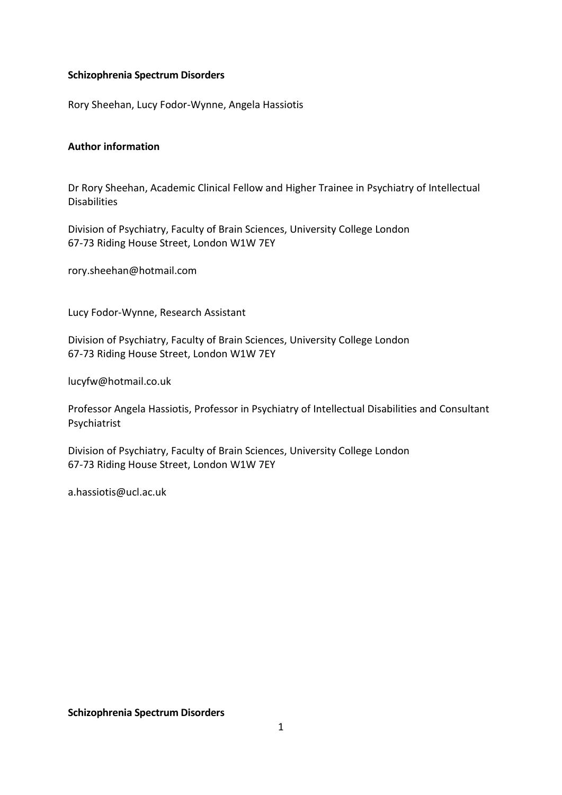## **Schizophrenia Spectrum Disorders**

Rory Sheehan, Lucy Fodor-Wynne, Angela Hassiotis

## **Author information**

Dr Rory Sheehan, Academic Clinical Fellow and Higher Trainee in Psychiatry of Intellectual Disabilities

Division of Psychiatry, Faculty of Brain Sciences, University College London 67-73 Riding House Street, London W1W 7EY

rory.sheehan@hotmail.com

Lucy Fodor-Wynne, Research Assistant

Division of Psychiatry, Faculty of Brain Sciences, University College London 67-73 Riding House Street, London W1W 7EY

lucyfw@hotmail.co.uk

Professor Angela Hassiotis, Professor in Psychiatry of Intellectual Disabilities and Consultant Psychiatrist

Division of Psychiatry, Faculty of Brain Sciences, University College London 67-73 Riding House Street, London W1W 7EY

a.hassiotis@ucl.ac.uk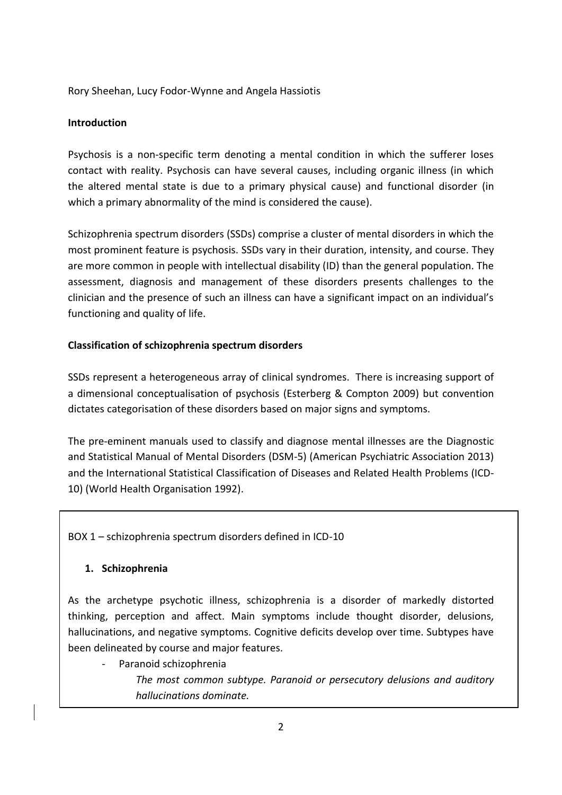Rory Sheehan, Lucy Fodor-Wynne and Angela Hassiotis

## **Introduction**

Psychosis is a non-specific term denoting a mental condition in which the sufferer loses contact with reality. Psychosis can have several causes, including organic illness (in which the altered mental state is due to a primary physical cause) and functional disorder (in which a primary abnormality of the mind is considered the cause).

Schizophrenia spectrum disorders (SSDs) comprise a cluster of mental disorders in which the most prominent feature is psychosis. SSDs vary in their duration, intensity, and course. They are more common in people with intellectual disability (ID) than the general population. The assessment, diagnosis and management of these disorders presents challenges to the clinician and the presence of such an illness can have a significant impact on an individual's functioning and quality of life.

# **Classification of schizophrenia spectrum disorders**

SSDs represent a heterogeneous array of clinical syndromes. There is increasing support of a dimensional conceptualisation of psychosis (Esterberg & Compton 2009) but convention dictates categorisation of these disorders based on major signs and symptoms.

The pre-eminent manuals used to classify and diagnose mental illnesses are the Diagnostic and Statistical Manual of Mental Disorders (DSM-5) (American Psychiatric Association 2013) and the International Statistical Classification of Diseases and Related Health Problems (ICD-10) (World Health Organisation 1992).

BOX 1 – schizophrenia spectrum disorders defined in ICD-10

# **1. Schizophrenia**

As the archetype psychotic illness, schizophrenia is a disorder of markedly distorted thinking, perception and affect. Main symptoms include thought disorder, delusions, hallucinations, and negative symptoms. Cognitive deficits develop over time. Subtypes have been delineated by course and major features.

Paranoid schizophrenia *The most common subtype. Paranoid or persecutory delusions and auditory hallucinations dominate.*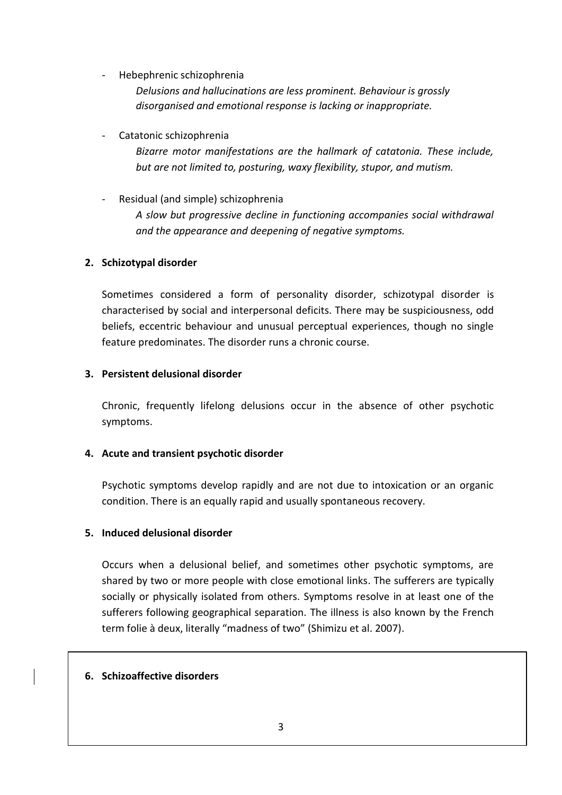Hebephrenic schizophrenia

*Delusions and hallucinations are less prominent. Behaviour is grossly disorganised and emotional response is lacking or inappropriate.*

Catatonic schizophrenia

*Bizarre motor manifestations are the hallmark of catatonia. These include, but are not limited to, posturing, waxy flexibility, stupor, and mutism.* 

Residual (and simple) schizophrenia *A slow but progressive decline in functioning accompanies social withdrawal and the appearance and deepening of negative symptoms.*

# **2. Schizotypal disorder**

Sometimes considered a form of personality disorder, schizotypal disorder is characterised by social and interpersonal deficits. There may be suspiciousness, odd beliefs, eccentric behaviour and unusual perceptual experiences, though no single feature predominates. The disorder runs a chronic course.

## **3. Persistent delusional disorder**

Chronic, frequently lifelong delusions occur in the absence of other psychotic symptoms.

# **4. Acute and transient psychotic disorder**

Psychotic symptoms develop rapidly and are not due to intoxication or an organic condition. There is an equally rapid and usually spontaneous recovery.

# **5. Induced delusional disorder**

Occurs when a delusional belief, and sometimes other psychotic symptoms, are shared by two or more people with close emotional links. The sufferers are typically socially or physically isolated from others. Symptoms resolve in at least one of the sufferers following geographical separation. The illness is also known by the French term folie à deux, literally "madness of two" (Shimizu et al. 2007).

# **6. Schizoaffective disorders**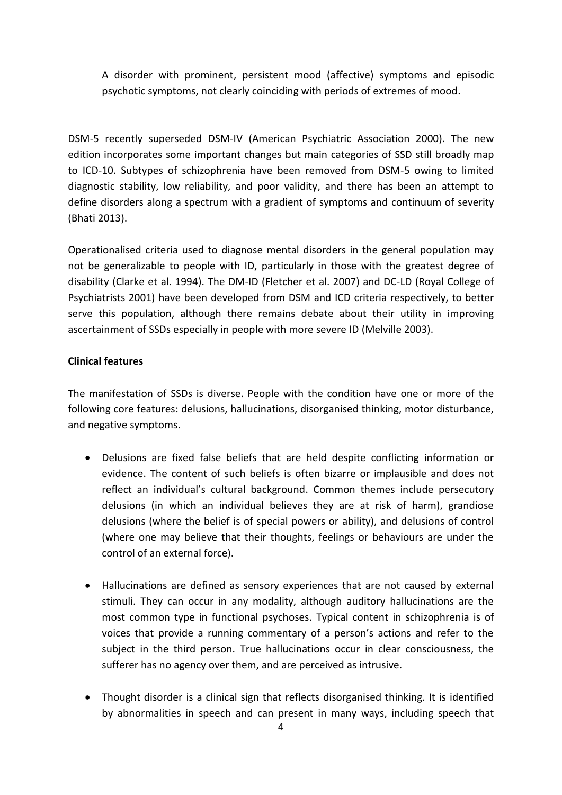A disorder with prominent, persistent mood (affective) symptoms and episodic psychotic symptoms, not clearly coinciding with periods of extremes of mood.

DSM-5 recently superseded DSM-IV (American Psychiatric Association 2000). The new edition incorporates some important changes but main categories of SSD still broadly map to ICD-10. Subtypes of schizophrenia have been removed from DSM-5 owing to limited diagnostic stability, low reliability, and poor validity, and there has been an attempt to define disorders along a spectrum with a gradient of symptoms and continuum of severity (Bhati 2013).

Operationalised criteria used to diagnose mental disorders in the general population may not be generalizable to people with ID, particularly in those with the greatest degree of disability (Clarke et al. 1994). The DM-ID (Fletcher et al. 2007) and DC-LD (Royal College of Psychiatrists 2001) have been developed from DSM and ICD criteria respectively, to better serve this population, although there remains debate about their utility in improving ascertainment of SSDs especially in people with more severe ID (Melville 2003).

## **Clinical features**

The manifestation of SSDs is diverse. People with the condition have one or more of the following core features: delusions, hallucinations, disorganised thinking, motor disturbance, and negative symptoms.

- Delusions are fixed false beliefs that are held despite conflicting information or evidence. The content of such beliefs is often bizarre or implausible and does not reflect an individual's cultural background. Common themes include persecutory delusions (in which an individual believes they are at risk of harm), grandiose delusions (where the belief is of special powers or ability), and delusions of control (where one may believe that their thoughts, feelings or behaviours are under the control of an external force).
- Hallucinations are defined as sensory experiences that are not caused by external stimuli. They can occur in any modality, although auditory hallucinations are the most common type in functional psychoses. Typical content in schizophrenia is of voices that provide a running commentary of a person's actions and refer to the subject in the third person. True hallucinations occur in clear consciousness, the sufferer has no agency over them, and are perceived as intrusive.
- Thought disorder is a clinical sign that reflects disorganised thinking. It is identified by abnormalities in speech and can present in many ways, including speech that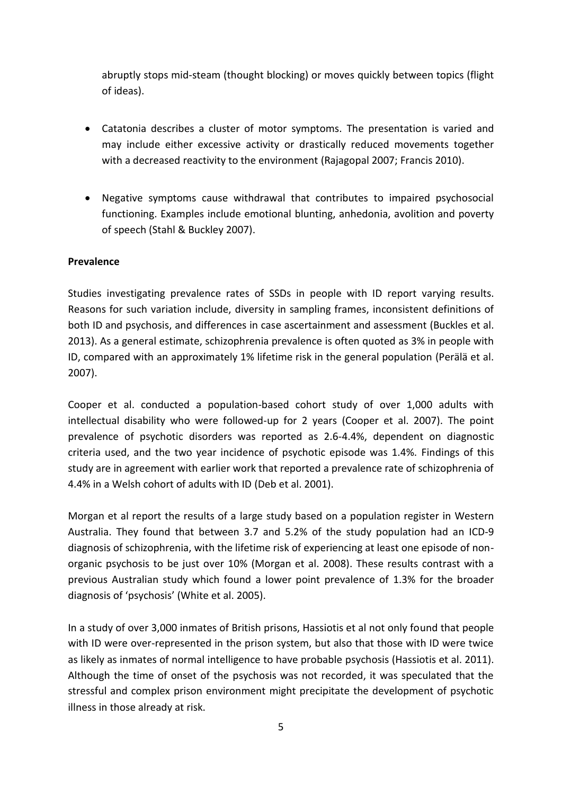abruptly stops mid-steam (thought blocking) or moves quickly between topics (flight of ideas).

- Catatonia describes a cluster of motor symptoms. The presentation is varied and may include either excessive activity or drastically reduced movements together with a decreased reactivity to the environment (Rajagopal 2007; Francis 2010).
- Negative symptoms cause withdrawal that contributes to impaired psychosocial functioning. Examples include emotional blunting, anhedonia, avolition and poverty of speech (Stahl & Buckley 2007).

#### **Prevalence**

Studies investigating prevalence rates of SSDs in people with ID report varying results. Reasons for such variation include, diversity in sampling frames, inconsistent definitions of both ID and psychosis, and differences in case ascertainment and assessment (Buckles et al. 2013). As a general estimate, schizophrenia prevalence is often quoted as 3% in people with ID, compared with an approximately 1% lifetime risk in the general population (Perälä et al. 2007).

Cooper et al. conducted a population-based cohort study of over 1,000 adults with intellectual disability who were followed-up for 2 years (Cooper et al. 2007). The point prevalence of psychotic disorders was reported as 2.6-4.4%, dependent on diagnostic criteria used, and the two year incidence of psychotic episode was 1.4%. Findings of this study are in agreement with earlier work that reported a prevalence rate of schizophrenia of 4.4% in a Welsh cohort of adults with ID (Deb et al. 2001).

Morgan et al report the results of a large study based on a population register in Western Australia. They found that between 3.7 and 5.2% of the study population had an ICD-9 diagnosis of schizophrenia, with the lifetime risk of experiencing at least one episode of nonorganic psychosis to be just over 10% (Morgan et al. 2008). These results contrast with a previous Australian study which found a lower point prevalence of 1.3% for the broader diagnosis of 'psychosis' (White et al. 2005).

In a study of over 3,000 inmates of British prisons, Hassiotis et al not only found that people with ID were over-represented in the prison system, but also that those with ID were twice as likely as inmates of normal intelligence to have probable psychosis (Hassiotis et al. 2011). Although the time of onset of the psychosis was not recorded, it was speculated that the stressful and complex prison environment might precipitate the development of psychotic illness in those already at risk.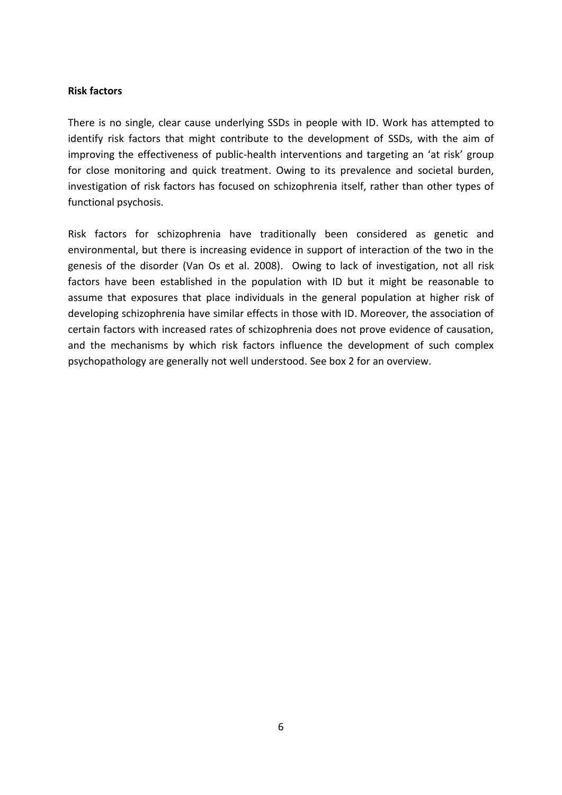#### **Risk factors**

There is no single, clear cause underlying SSDs in people with ID. Work has attempted to identify risk factors that might contribute to the development of SSDs, with the aim of improving the effectiveness of public-health interventions and targeting an 'at risk' group for close monitoring and quick treatment. Owing to its prevalence and societal burden, investigation of risk factors has focused on schizophrenia itself, rather than other types of functional psychosis.

Risk factors for schizophrenia have traditionally been considered as genetic and environmental, but there is increasing evidence in support of interaction of the two in the genesis of the disorder (Van Os et al. 2008). Owing to lack of investigation, not all risk factors have been established in the population with ID but it might be reasonable to assume that exposures that place individuals in the general population at higher risk of developing schizophrenia have similar effects in those with ID. Moreover, the association of certain factors with increased rates of schizophrenia does not prove evidence of causation, and the mechanisms by which risk factors influence the development of such complex psychopathology are generally not well understood. See box 2 for an overview.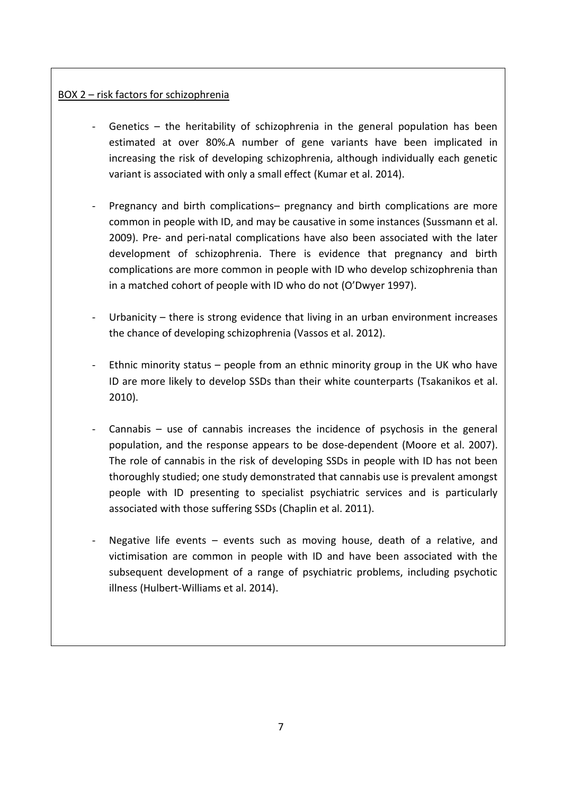# BOX 2 – risk factors for schizophrenia

- Genetics  $-$  the heritability of schizophrenia in the general population has been estimated at over 80%.A number of gene variants have been implicated in increasing the risk of developing schizophrenia, although individually each genetic variant is associated with only a small effect (Kumar et al. 2014).
- Pregnancy and birth complications– pregnancy and birth complications are more common in people with ID, and may be causative in some instances (Sussmann et al. 2009). Pre- and peri-natal complications have also been associated with the later development of schizophrenia. There is evidence that pregnancy and birth complications are more common in people with ID who develop schizophrenia than in a matched cohort of people with ID who do not (O'Dwyer 1997).
- Urbanicity  $-$  there is strong evidence that living in an urban environment increases the chance of developing schizophrenia (Vassos et al. 2012).
- Ethnic minority status  $-$  people from an ethnic minority group in the UK who have ID are more likely to develop SSDs than their white counterparts (Tsakanikos et al. 2010).
- Cannabis  $-$  use of cannabis increases the incidence of psychosis in the general population, and the response appears to be dose-dependent (Moore et al. 2007). The role of cannabis in the risk of developing SSDs in people with ID has not been thoroughly studied; one study demonstrated that cannabis use is prevalent amongst people with ID presenting to specialist psychiatric services and is particularly associated with those suffering SSDs (Chaplin et al. 2011).
- Negative life events events such as moving house, death of a relative, and victimisation are common in people with ID and have been associated with the subsequent development of a range of psychiatric problems, including psychotic illness (Hulbert‐Williams et al. 2014).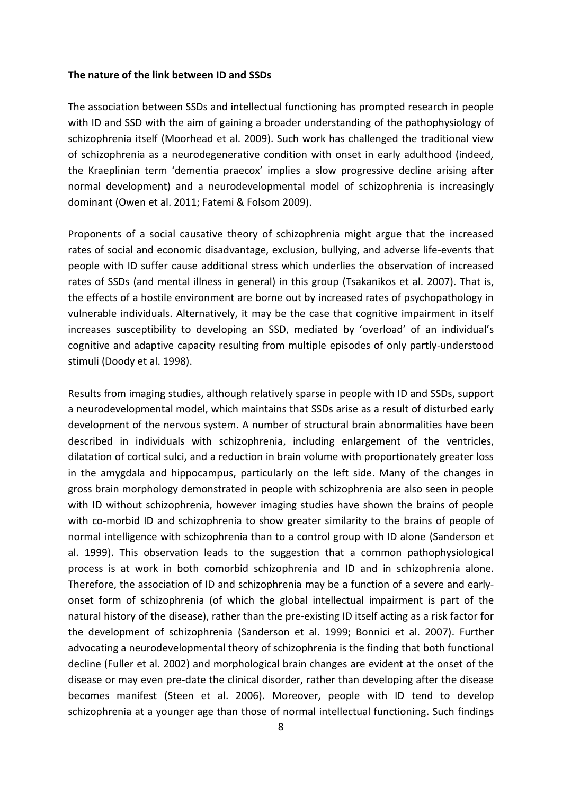#### **The nature of the link between ID and SSDs**

The association between SSDs and intellectual functioning has prompted research in people with ID and SSD with the aim of gaining a broader understanding of the pathophysiology of schizophrenia itself (Moorhead et al. 2009). Such work has challenged the traditional view of schizophrenia as a neurodegenerative condition with onset in early adulthood (indeed, the Kraeplinian term 'dementia praecox' implies a slow progressive decline arising after normal development) and a neurodevelopmental model of schizophrenia is increasingly dominant (Owen et al. 2011; Fatemi & Folsom 2009).

Proponents of a social causative theory of schizophrenia might argue that the increased rates of social and economic disadvantage, exclusion, bullying, and adverse life-events that people with ID suffer cause additional stress which underlies the observation of increased rates of SSDs (and mental illness in general) in this group (Tsakanikos et al. 2007). That is, the effects of a hostile environment are borne out by increased rates of psychopathology in vulnerable individuals. Alternatively, it may be the case that cognitive impairment in itself increases susceptibility to developing an SSD, mediated by 'overload' of an individual's cognitive and adaptive capacity resulting from multiple episodes of only partly-understood stimuli (Doody et al. 1998).

Results from imaging studies, although relatively sparse in people with ID and SSDs, support a neurodevelopmental model, which maintains that SSDs arise as a result of disturbed early development of the nervous system. A number of structural brain abnormalities have been described in individuals with schizophrenia, including enlargement of the ventricles, dilatation of cortical sulci, and a reduction in brain volume with proportionately greater loss in the amygdala and hippocampus, particularly on the left side. Many of the changes in gross brain morphology demonstrated in people with schizophrenia are also seen in people with ID without schizophrenia, however imaging studies have shown the brains of people with co-morbid ID and schizophrenia to show greater similarity to the brains of people of normal intelligence with schizophrenia than to a control group with ID alone (Sanderson et al. 1999). This observation leads to the suggestion that a common pathophysiological process is at work in both comorbid schizophrenia and ID and in schizophrenia alone. Therefore, the association of ID and schizophrenia may be a function of a severe and earlyonset form of schizophrenia (of which the global intellectual impairment is part of the natural history of the disease), rather than the pre-existing ID itself acting as a risk factor for the development of schizophrenia (Sanderson et al. 1999; Bonnici et al. 2007). Further advocating a neurodevelopmental theory of schizophrenia is the finding that both functional decline (Fuller et al. 2002) and morphological brain changes are evident at the onset of the disease or may even pre-date the clinical disorder, rather than developing after the disease becomes manifest (Steen et al. 2006). Moreover, people with ID tend to develop schizophrenia at a younger age than those of normal intellectual functioning. Such findings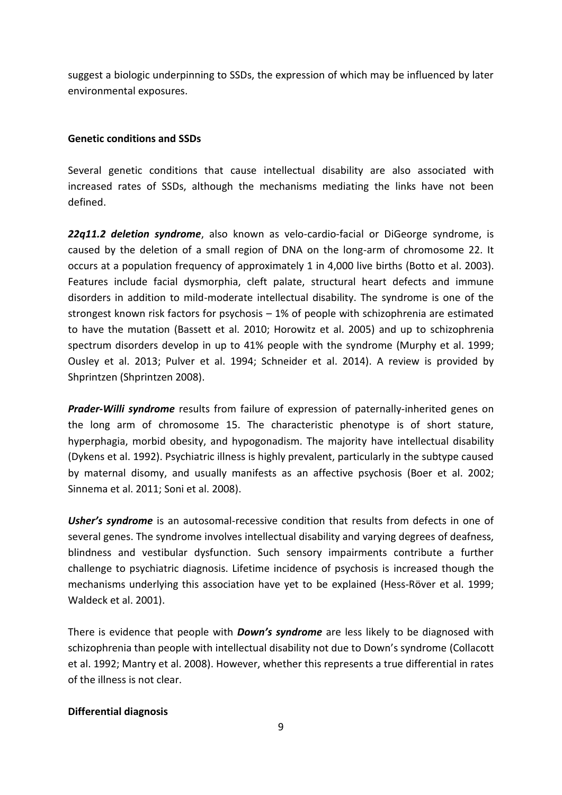suggest a biologic underpinning to SSDs, the expression of which may be influenced by later environmental exposures.

## **Genetic conditions and SSDs**

Several genetic conditions that cause intellectual disability are also associated with increased rates of SSDs, although the mechanisms mediating the links have not been defined.

*22q11.2 deletion syndrome*, also known as velo-cardio-facial or DiGeorge syndrome, is caused by the deletion of a small region of DNA on the long-arm of chromosome 22. It occurs at a population frequency of approximately 1 in 4,000 live births (Botto et al. 2003). Features include facial dysmorphia, cleft palate, structural heart defects and immune disorders in addition to mild-moderate intellectual disability. The syndrome is one of the strongest known risk factors for psychosis – 1% of people with schizophrenia are estimated to have the mutation (Bassett et al. 2010; Horowitz et al. 2005) and up to schizophrenia spectrum disorders develop in up to 41% people with the syndrome (Murphy et al. 1999; Ousley et al. 2013; Pulver et al. 1994; Schneider et al. 2014). A review is provided by Shprintzen (Shprintzen 2008).

*Prader-Willi syndrome* results from failure of expression of paternally-inherited genes on the long arm of chromosome 15. The characteristic phenotype is of short stature, hyperphagia, morbid obesity, and hypogonadism. The majority have intellectual disability (Dykens et al. 1992). Psychiatric illness is highly prevalent, particularly in the subtype caused by maternal disomy, and usually manifests as an affective psychosis (Boer et al. 2002; Sinnema et al. 2011; Soni et al. 2008).

**Usher's syndrome** is an autosomal-recessive condition that results from defects in one of several genes. The syndrome involves intellectual disability and varying degrees of deafness, blindness and vestibular dysfunction. Such sensory impairments contribute a further challenge to psychiatric diagnosis. Lifetime incidence of psychosis is increased though the mechanisms underlying this association have yet to be explained (Hess-Röver et al. 1999; Waldeck et al. 2001).

There is evidence that people with *Down's syndrome* are less likely to be diagnosed with schizophrenia than people with intellectual disability not due to Down's syndrome (Collacott et al. 1992; Mantry et al. 2008). However, whether this represents a true differential in rates of the illness is not clear.

## **Differential diagnosis**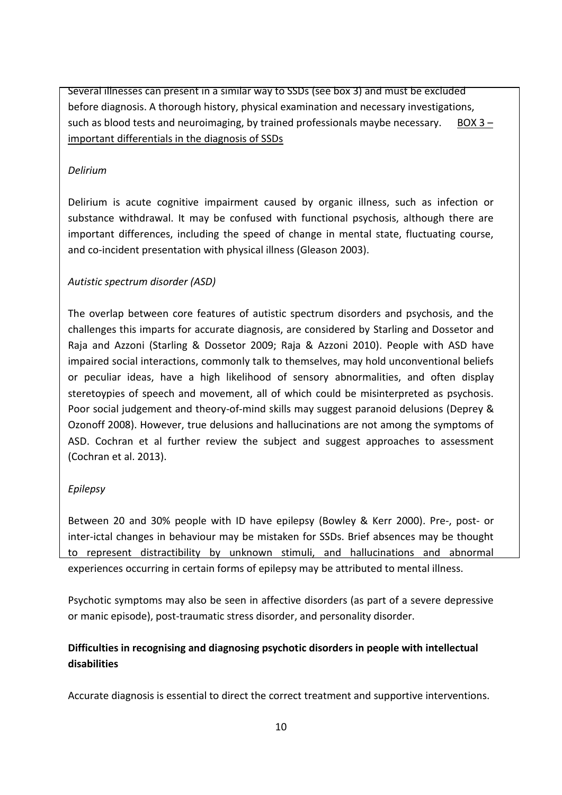Several illnesses can present in a similar way to SSDs (see box 3) and must be excluded before diagnosis. A thorough history, physical examination and necessary investigations, such as blood tests and neuroimaging, by trained professionals maybe necessary. BOX  $3$ important differentials in the diagnosis of SSDs

## *Delirium*

Delirium is acute cognitive impairment caused by organic illness, such as infection or substance withdrawal. It may be confused with functional psychosis, although there are important differences, including the speed of change in mental state, fluctuating course, and co-incident presentation with physical illness (Gleason 2003).

## *Autistic spectrum disorder (ASD)*

The overlap between core features of autistic spectrum disorders and psychosis, and the challenges this imparts for accurate diagnosis, are considered by Starling and Dossetor and Raja and Azzoni (Starling & Dossetor 2009; Raja & Azzoni 2010). People with ASD have impaired social interactions, commonly talk to themselves, may hold unconventional beliefs or peculiar ideas, have a high likelihood of sensory abnormalities, and often display steretoypies of speech and movement, all of which could be misinterpreted as psychosis. Poor social judgement and theory-of-mind skills may suggest paranoid delusions (Deprey & Ozonoff 2008). However, true delusions and hallucinations are not among the symptoms of ASD. Cochran et al further review the subject and suggest approaches to assessment (Cochran et al. 2013).

## *Epilepsy*

Between 20 and 30% people with ID have epilepsy (Bowley & Kerr 2000). Pre-, post- or inter-ictal changes in behaviour may be mistaken for SSDs. Brief absences may be thought to represent distractibility by unknown stimuli, and hallucinations and abnormal experiences occurring in certain forms of epilepsy may be attributed to mental illness.

Psychotic symptoms may also be seen in affective disorders (as part of a severe depressive or manic episode), post-traumatic stress disorder, and personality disorder.

# **Difficulties in recognising and diagnosing psychotic disorders in people with intellectual disabilities**

Accurate diagnosis is essential to direct the correct treatment and supportive interventions.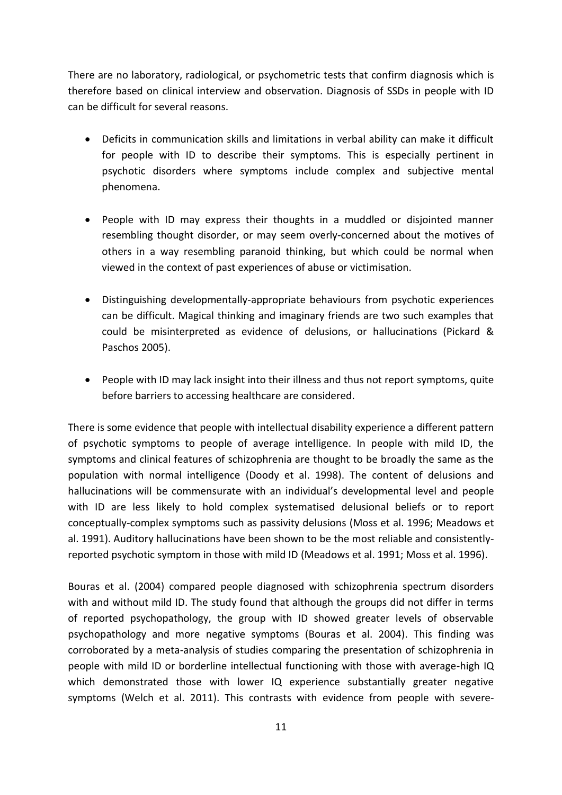There are no laboratory, radiological, or psychometric tests that confirm diagnosis which is therefore based on clinical interview and observation. Diagnosis of SSDs in people with ID can be difficult for several reasons.

- Deficits in communication skills and limitations in verbal ability can make it difficult for people with ID to describe their symptoms. This is especially pertinent in psychotic disorders where symptoms include complex and subjective mental phenomena.
- People with ID may express their thoughts in a muddled or disjointed manner resembling thought disorder, or may seem overly-concerned about the motives of others in a way resembling paranoid thinking, but which could be normal when viewed in the context of past experiences of abuse or victimisation.
- Distinguishing developmentally-appropriate behaviours from psychotic experiences can be difficult. Magical thinking and imaginary friends are two such examples that could be misinterpreted as evidence of delusions, or hallucinations (Pickard & Paschos 2005).
- People with ID may lack insight into their illness and thus not report symptoms, quite before barriers to accessing healthcare are considered.

There is some evidence that people with intellectual disability experience a different pattern of psychotic symptoms to people of average intelligence. In people with mild ID, the symptoms and clinical features of schizophrenia are thought to be broadly the same as the population with normal intelligence (Doody et al. 1998). The content of delusions and hallucinations will be commensurate with an individual's developmental level and people with ID are less likely to hold complex systematised delusional beliefs or to report conceptually-complex symptoms such as passivity delusions (Moss et al. 1996; Meadows et al. 1991). Auditory hallucinations have been shown to be the most reliable and consistentlyreported psychotic symptom in those with mild ID (Meadows et al. 1991; Moss et al. 1996).

Bouras et al. (2004) compared people diagnosed with schizophrenia spectrum disorders with and without mild ID. The study found that although the groups did not differ in terms of reported psychopathology, the group with ID showed greater levels of observable psychopathology and more negative symptoms (Bouras et al. 2004). This finding was corroborated by a meta-analysis of studies comparing the presentation of schizophrenia in people with mild ID or borderline intellectual functioning with those with average-high IQ which demonstrated those with lower IQ experience substantially greater negative symptoms (Welch et al. 2011). This contrasts with evidence from people with severe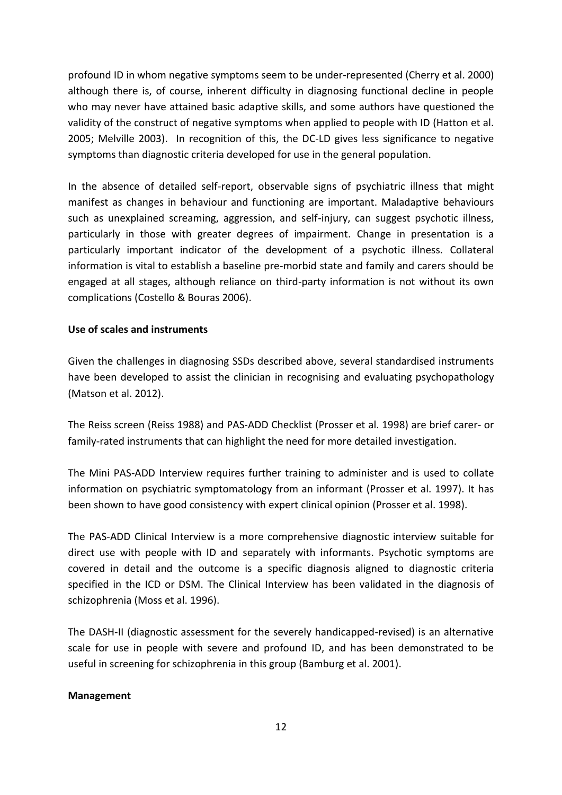profound ID in whom negative symptoms seem to be under-represented (Cherry et al. 2000) although there is, of course, inherent difficulty in diagnosing functional decline in people who may never have attained basic adaptive skills, and some authors have questioned the validity of the construct of negative symptoms when applied to people with ID (Hatton et al. 2005; Melville 2003). In recognition of this, the DC-LD gives less significance to negative symptoms than diagnostic criteria developed for use in the general population.

In the absence of detailed self-report, observable signs of psychiatric illness that might manifest as changes in behaviour and functioning are important. Maladaptive behaviours such as unexplained screaming, aggression, and self-injury, can suggest psychotic illness, particularly in those with greater degrees of impairment. Change in presentation is a particularly important indicator of the development of a psychotic illness. Collateral information is vital to establish a baseline pre-morbid state and family and carers should be engaged at all stages, although reliance on third-party information is not without its own complications (Costello & Bouras 2006).

## **Use of scales and instruments**

Given the challenges in diagnosing SSDs described above, several standardised instruments have been developed to assist the clinician in recognising and evaluating psychopathology (Matson et al. 2012).

The Reiss screen (Reiss 1988) and PAS-ADD Checklist (Prosser et al. 1998) are brief carer- or family-rated instruments that can highlight the need for more detailed investigation.

The Mini PAS-ADD Interview requires further training to administer and is used to collate information on psychiatric symptomatology from an informant (Prosser et al. 1997). It has been shown to have good consistency with expert clinical opinion (Prosser et al. 1998).

The PAS-ADD Clinical Interview is a more comprehensive diagnostic interview suitable for direct use with people with ID and separately with informants. Psychotic symptoms are covered in detail and the outcome is a specific diagnosis aligned to diagnostic criteria specified in the ICD or DSM. The Clinical Interview has been validated in the diagnosis of schizophrenia (Moss et al. 1996).

The DASH-II (diagnostic assessment for the severely handicapped-revised) is an alternative scale for use in people with severe and profound ID, and has been demonstrated to be useful in screening for schizophrenia in this group (Bamburg et al. 2001).

#### **Management**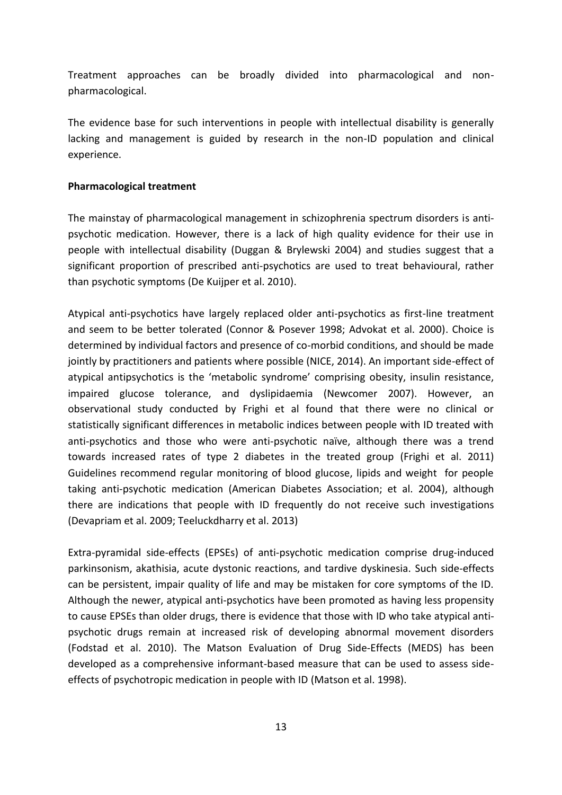Treatment approaches can be broadly divided into pharmacological and nonpharmacological.

The evidence base for such interventions in people with intellectual disability is generally lacking and management is guided by research in the non-ID population and clinical experience.

#### **Pharmacological treatment**

The mainstay of pharmacological management in schizophrenia spectrum disorders is antipsychotic medication. However, there is a lack of high quality evidence for their use in people with intellectual disability (Duggan & Brylewski 2004) and studies suggest that a significant proportion of prescribed anti-psychotics are used to treat behavioural, rather than psychotic symptoms (De Kuijper et al. 2010).

Atypical anti-psychotics have largely replaced older anti-psychotics as first-line treatment and seem to be better tolerated (Connor & Posever 1998; Advokat et al. 2000). Choice is determined by individual factors and presence of co-morbid conditions, and should be made jointly by practitioners and patients where possible (NICE, 2014). An important side-effect of atypical antipsychotics is the 'metabolic syndrome' comprising obesity, insulin resistance, impaired glucose tolerance, and dyslipidaemia (Newcomer 2007). However, an observational study conducted by Frighi et al found that there were no clinical or statistically significant differences in metabolic indices between people with ID treated with anti-psychotics and those who were anti-psychotic naïve, although there was a trend towards increased rates of type 2 diabetes in the treated group (Frighi et al. 2011) Guidelines recommend regular monitoring of blood glucose, lipids and weight for people taking anti-psychotic medication (American Diabetes Association; et al. 2004), although there are indications that people with ID frequently do not receive such investigations (Devapriam et al. 2009; Teeluckdharry et al. 2013)

Extra-pyramidal side-effects (EPSEs) of anti-psychotic medication comprise drug-induced parkinsonism, akathisia, acute dystonic reactions, and tardive dyskinesia. Such side-effects can be persistent, impair quality of life and may be mistaken for core symptoms of the ID. Although the newer, atypical anti-psychotics have been promoted as having less propensity to cause EPSEs than older drugs, there is evidence that those with ID who take atypical antipsychotic drugs remain at increased risk of developing abnormal movement disorders (Fodstad et al. 2010). The Matson Evaluation of Drug Side-Effects (MEDS) has been developed as a comprehensive informant-based measure that can be used to assess sideeffects of psychotropic medication in people with ID (Matson et al. 1998).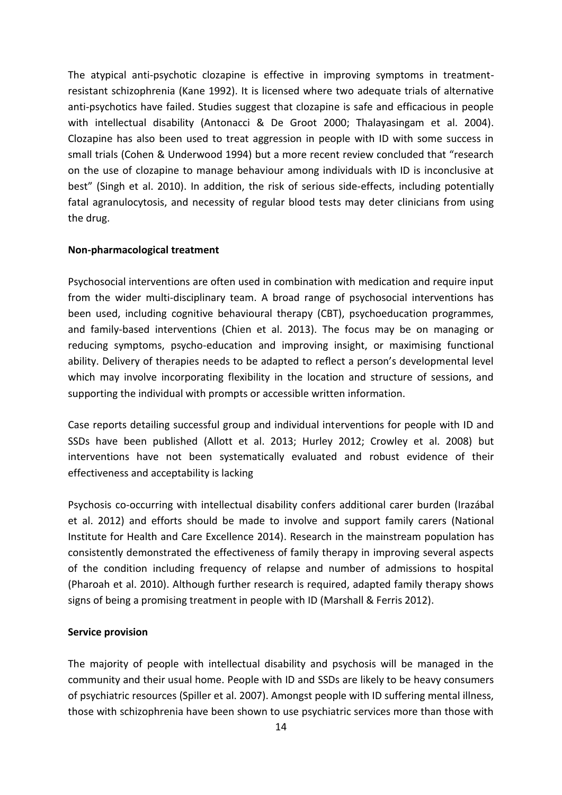The atypical anti-psychotic clozapine is effective in improving symptoms in treatmentresistant schizophrenia (Kane 1992). It is licensed where two adequate trials of alternative anti-psychotics have failed. Studies suggest that clozapine is safe and efficacious in people with intellectual disability (Antonacci & De Groot 2000; Thalayasingam et al. 2004). Clozapine has also been used to treat aggression in people with ID with some success in small trials (Cohen & Underwood 1994) but a more recent review concluded that "research on the use of clozapine to manage behaviour among individuals with ID is inconclusive at best" (Singh et al. 2010). In addition, the risk of serious side-effects, including potentially fatal agranulocytosis, and necessity of regular blood tests may deter clinicians from using the drug.

#### **Non-pharmacological treatment**

Psychosocial interventions are often used in combination with medication and require input from the wider multi-disciplinary team. A broad range of psychosocial interventions has been used, including cognitive behavioural therapy (CBT), psychoeducation programmes, and family-based interventions (Chien et al. 2013). The focus may be on managing or reducing symptoms, psycho-education and improving insight, or maximising functional ability. Delivery of therapies needs to be adapted to reflect a person's developmental level which may involve incorporating flexibility in the location and structure of sessions, and supporting the individual with prompts or accessible written information.

Case reports detailing successful group and individual interventions for people with ID and SSDs have been published (Allott et al. 2013; Hurley 2012; Crowley et al. 2008) but interventions have not been systematically evaluated and robust evidence of their effectiveness and acceptability is lacking

Psychosis co-occurring with intellectual disability confers additional carer burden (Irazábal et al. 2012) and efforts should be made to involve and support family carers (National Institute for Health and Care Excellence 2014). Research in the mainstream population has consistently demonstrated the effectiveness of family therapy in improving several aspects of the condition including frequency of relapse and number of admissions to hospital (Pharoah et al. 2010). Although further research is required, adapted family therapy shows signs of being a promising treatment in people with ID (Marshall & Ferris 2012).

#### **Service provision**

The majority of people with intellectual disability and psychosis will be managed in the community and their usual home. People with ID and SSDs are likely to be heavy consumers of psychiatric resources (Spiller et al. 2007). Amongst people with ID suffering mental illness, those with schizophrenia have been shown to use psychiatric services more than those with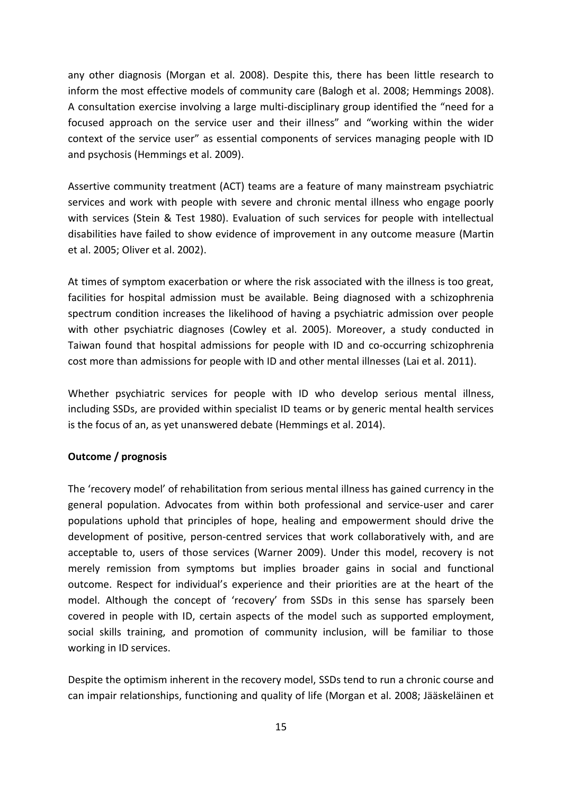any other diagnosis (Morgan et al. 2008). Despite this, there has been little research to inform the most effective models of community care (Balogh et al. 2008; Hemmings 2008). A consultation exercise involving a large multi-disciplinary group identified the "need for a focused approach on the service user and their illness" and "working within the wider context of the service user" as essential components of services managing people with ID and psychosis (Hemmings et al. 2009).

Assertive community treatment (ACT) teams are a feature of many mainstream psychiatric services and work with people with severe and chronic mental illness who engage poorly with services (Stein & Test 1980). Evaluation of such services for people with intellectual disabilities have failed to show evidence of improvement in any outcome measure (Martin et al. 2005; Oliver et al. 2002).

At times of symptom exacerbation or where the risk associated with the illness is too great, facilities for hospital admission must be available. Being diagnosed with a schizophrenia spectrum condition increases the likelihood of having a psychiatric admission over people with other psychiatric diagnoses (Cowley et al. 2005). Moreover, a study conducted in Taiwan found that hospital admissions for people with ID and co-occurring schizophrenia cost more than admissions for people with ID and other mental illnesses (Lai et al. 2011).

Whether psychiatric services for people with ID who develop serious mental illness, including SSDs, are provided within specialist ID teams or by generic mental health services is the focus of an, as yet unanswered debate (Hemmings et al. 2014).

## **Outcome / prognosis**

The 'recovery model' of rehabilitation from serious mental illness has gained currency in the general population. Advocates from within both professional and service-user and carer populations uphold that principles of hope, healing and empowerment should drive the development of positive, person-centred services that work collaboratively with, and are acceptable to, users of those services (Warner 2009). Under this model, recovery is not merely remission from symptoms but implies broader gains in social and functional outcome. Respect for individual's experience and their priorities are at the heart of the model. Although the concept of 'recovery' from SSDs in this sense has sparsely been covered in people with ID, certain aspects of the model such as supported employment, social skills training, and promotion of community inclusion, will be familiar to those working in ID services.

Despite the optimism inherent in the recovery model, SSDs tend to run a chronic course and can impair relationships, functioning and quality of life (Morgan et al. 2008; Jääskeläinen et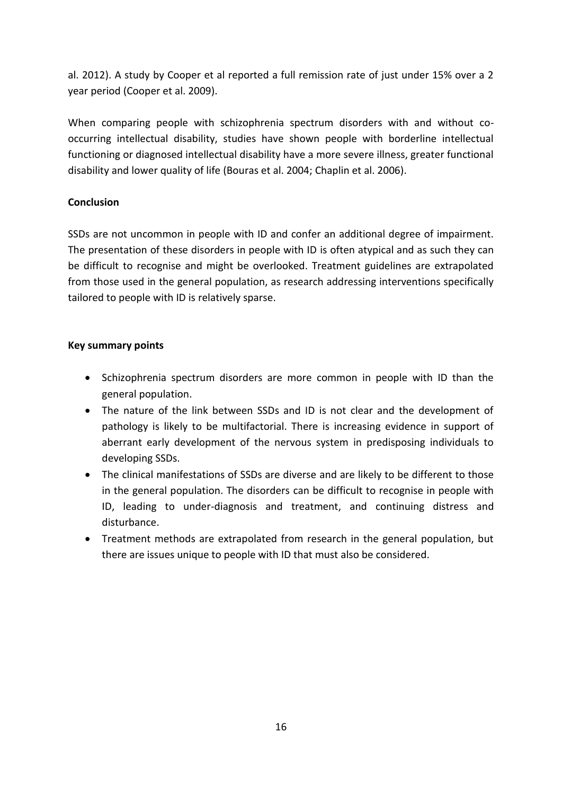al. 2012). A study by Cooper et al reported a full remission rate of just under 15% over a 2 year period (Cooper et al. 2009).

When comparing people with schizophrenia spectrum disorders with and without cooccurring intellectual disability, studies have shown people with borderline intellectual functioning or diagnosed intellectual disability have a more severe illness, greater functional disability and lower quality of life (Bouras et al. 2004; Chaplin et al. 2006).

## **Conclusion**

SSDs are not uncommon in people with ID and confer an additional degree of impairment. The presentation of these disorders in people with ID is often atypical and as such they can be difficult to recognise and might be overlooked. Treatment guidelines are extrapolated from those used in the general population, as research addressing interventions specifically tailored to people with ID is relatively sparse.

## **Key summary points**

- Schizophrenia spectrum disorders are more common in people with ID than the general population.
- The nature of the link between SSDs and ID is not clear and the development of pathology is likely to be multifactorial. There is increasing evidence in support of aberrant early development of the nervous system in predisposing individuals to developing SSDs.
- The clinical manifestations of SSDs are diverse and are likely to be different to those in the general population. The disorders can be difficult to recognise in people with ID, leading to under-diagnosis and treatment, and continuing distress and disturbance.
- Treatment methods are extrapolated from research in the general population, but there are issues unique to people with ID that must also be considered.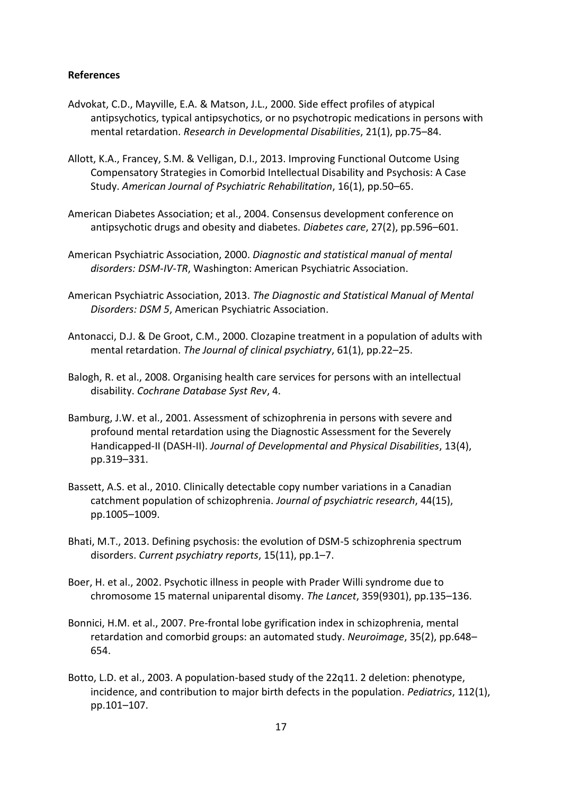#### **References**

- Advokat, C.D., Mayville, E.A. & Matson, J.L., 2000. Side effect profiles of atypical antipsychotics, typical antipsychotics, or no psychotropic medications in persons with mental retardation. *Research in Developmental Disabilities*, 21(1), pp.75–84.
- Allott, K.A., Francey, S.M. & Velligan, D.I., 2013. Improving Functional Outcome Using Compensatory Strategies in Comorbid Intellectual Disability and Psychosis: A Case Study. *American Journal of Psychiatric Rehabilitation*, 16(1), pp.50–65.
- American Diabetes Association; et al., 2004. Consensus development conference on antipsychotic drugs and obesity and diabetes. *Diabetes care*, 27(2), pp.596–601.
- American Psychiatric Association, 2000. *Diagnostic and statistical manual of mental disorders: DSM-IV-TR*, Washington: American Psychiatric Association.
- American Psychiatric Association, 2013. *The Diagnostic and Statistical Manual of Mental Disorders: DSM 5*, American Psychiatric Association.
- Antonacci, D.J. & De Groot, C.M., 2000. Clozapine treatment in a population of adults with mental retardation. *The Journal of clinical psychiatry*, 61(1), pp.22–25.
- Balogh, R. et al., 2008. Organising health care services for persons with an intellectual disability. *Cochrane Database Syst Rev*, 4.
- Bamburg, J.W. et al., 2001. Assessment of schizophrenia in persons with severe and profound mental retardation using the Diagnostic Assessment for the Severely Handicapped-II (DASH-II). *Journal of Developmental and Physical Disabilities*, 13(4), pp.319–331.
- Bassett, A.S. et al., 2010. Clinically detectable copy number variations in a Canadian catchment population of schizophrenia. *Journal of psychiatric research*, 44(15), pp.1005–1009.
- Bhati, M.T., 2013. Defining psychosis: the evolution of DSM-5 schizophrenia spectrum disorders. *Current psychiatry reports*, 15(11), pp.1–7.
- Boer, H. et al., 2002. Psychotic illness in people with Prader Willi syndrome due to chromosome 15 maternal uniparental disomy. *The Lancet*, 359(9301), pp.135–136.
- Bonnici, H.M. et al., 2007. Pre-frontal lobe gyrification index in schizophrenia, mental retardation and comorbid groups: an automated study. *Neuroimage*, 35(2), pp.648– 654.
- Botto, L.D. et al., 2003. A population-based study of the 22q11. 2 deletion: phenotype, incidence, and contribution to major birth defects in the population. *Pediatrics*, 112(1), pp.101–107.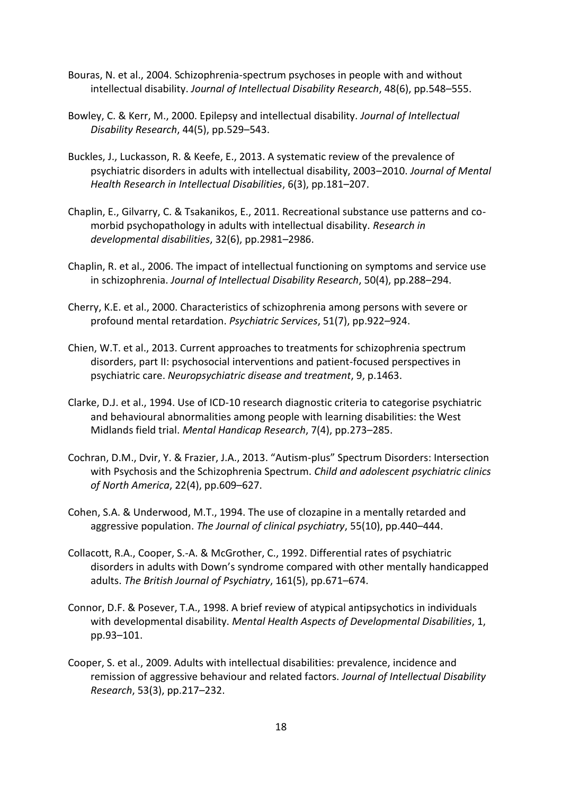- Bouras, N. et al., 2004. Schizophrenia‐spectrum psychoses in people with and without intellectual disability. *Journal of Intellectual Disability Research*, 48(6), pp.548–555.
- Bowley, C. & Kerr, M., 2000. Epilepsy and intellectual disability. *Journal of Intellectual Disability Research*, 44(5), pp.529–543.
- Buckles, J., Luckasson, R. & Keefe, E., 2013. A systematic review of the prevalence of psychiatric disorders in adults with intellectual disability, 2003–2010. *Journal of Mental Health Research in Intellectual Disabilities*, 6(3), pp.181–207.
- Chaplin, E., Gilvarry, C. & Tsakanikos, E., 2011. Recreational substance use patterns and comorbid psychopathology in adults with intellectual disability. *Research in developmental disabilities*, 32(6), pp.2981–2986.
- Chaplin, R. et al., 2006. The impact of intellectual functioning on symptoms and service use in schizophrenia. *Journal of Intellectual Disability Research*, 50(4), pp.288–294.
- Cherry, K.E. et al., 2000. Characteristics of schizophrenia among persons with severe or profound mental retardation. *Psychiatric Services*, 51(7), pp.922–924.
- Chien, W.T. et al., 2013. Current approaches to treatments for schizophrenia spectrum disorders, part II: psychosocial interventions and patient-focused perspectives in psychiatric care. *Neuropsychiatric disease and treatment*, 9, p.1463.
- Clarke, D.J. et al., 1994. Use of ICD-10 research diagnostic criteria to categorise psychiatric and behavioural abnormalities among people with learning disabilities: the West Midlands field trial. *Mental Handicap Research*, 7(4), pp.273–285.
- Cochran, D.M., Dvir, Y. & Frazier, J.A., 2013. "Autism-plus" Spectrum Disorders: Intersection with Psychosis and the Schizophrenia Spectrum. *Child and adolescent psychiatric clinics of North America*, 22(4), pp.609–627.
- Cohen, S.A. & Underwood, M.T., 1994. The use of clozapine in a mentally retarded and aggressive population. *The Journal of clinical psychiatry*, 55(10), pp.440–444.
- Collacott, R.A., Cooper, S.-A. & McGrother, C., 1992. Differential rates of psychiatric disorders in adults with Down's syndrome compared with other mentally handicapped adults. *The British Journal of Psychiatry*, 161(5), pp.671–674.
- Connor, D.F. & Posever, T.A., 1998. A brief review of atypical antipsychotics in individuals with developmental disability. *Mental Health Aspects of Developmental Disabilities*, 1, pp.93–101.
- Cooper, S. et al., 2009. Adults with intellectual disabilities: prevalence, incidence and remission of aggressive behaviour and related factors. *Journal of Intellectual Disability Research*, 53(3), pp.217–232.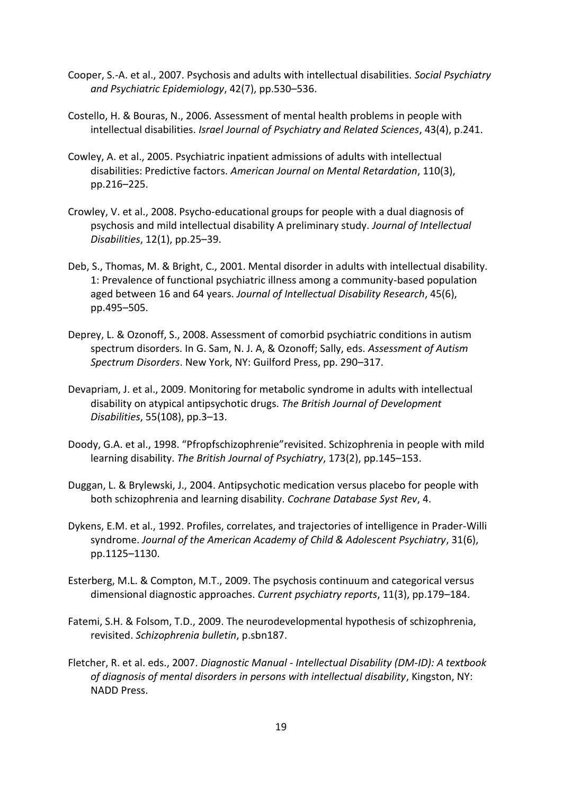- Cooper, S.-A. et al., 2007. Psychosis and adults with intellectual disabilities. *Social Psychiatry and Psychiatric Epidemiology*, 42(7), pp.530–536.
- Costello, H. & Bouras, N., 2006. Assessment of mental health problems in people with intellectual disabilities. *Israel Journal of Psychiatry and Related Sciences*, 43(4), p.241.
- Cowley, A. et al., 2005. Psychiatric inpatient admissions of adults with intellectual disabilities: Predictive factors. *American Journal on Mental Retardation*, 110(3), pp.216–225.
- Crowley, V. et al., 2008. Psycho-educational groups for people with a dual diagnosis of psychosis and mild intellectual disability A preliminary study. *Journal of Intellectual Disabilities*, 12(1), pp.25–39.
- Deb, S., Thomas, M. & Bright, C., 2001. Mental disorder in adults with intellectual disability. 1: Prevalence of functional psychiatric illness among a community‐based population aged between 16 and 64 years. *Journal of Intellectual Disability Research*, 45(6), pp.495–505.
- Deprey, L. & Ozonoff, S., 2008. Assessment of comorbid psychiatric conditions in autism spectrum disorders. In G. Sam, N. J. A, & Ozonoff; Sally, eds. *Assessment of Autism Spectrum Disorders*. New York, NY: Guilford Press, pp. 290–317.
- Devapriam, J. et al., 2009. Monitoring for metabolic syndrome in adults with intellectual disability on atypical antipsychotic drugs. *The British Journal of Development Disabilities*, 55(108), pp.3–13.
- Doody, G.A. et al., 1998. "Pfropfschizophrenie"revisited. Schizophrenia in people with mild learning disability. *The British Journal of Psychiatry*, 173(2), pp.145–153.
- Duggan, L. & Brylewski, J., 2004. Antipsychotic medication versus placebo for people with both schizophrenia and learning disability. *Cochrane Database Syst Rev*, 4.
- Dykens, E.M. et al., 1992. Profiles, correlates, and trajectories of intelligence in Prader-Willi syndrome. *Journal of the American Academy of Child & Adolescent Psychiatry*, 31(6), pp.1125–1130.
- Esterberg, M.L. & Compton, M.T., 2009. The psychosis continuum and categorical versus dimensional diagnostic approaches. *Current psychiatry reports*, 11(3), pp.179–184.
- Fatemi, S.H. & Folsom, T.D., 2009. The neurodevelopmental hypothesis of schizophrenia, revisited. *Schizophrenia bulletin*, p.sbn187.
- Fletcher, R. et al. eds., 2007. *Diagnostic Manual - Intellectual Disability (DM-ID): A textbook of diagnosis of mental disorders in persons with intellectual disability*, Kingston, NY: NADD Press.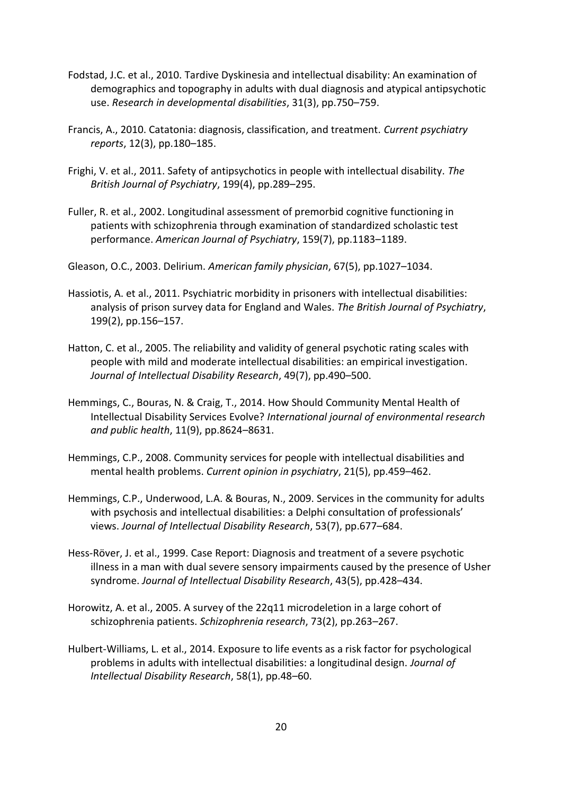- Fodstad, J.C. et al., 2010. Tardive Dyskinesia and intellectual disability: An examination of demographics and topography in adults with dual diagnosis and atypical antipsychotic use. *Research in developmental disabilities*, 31(3), pp.750–759.
- Francis, A., 2010. Catatonia: diagnosis, classification, and treatment. *Current psychiatry reports*, 12(3), pp.180–185.
- Frighi, V. et al., 2011. Safety of antipsychotics in people with intellectual disability. *The British Journal of Psychiatry*, 199(4), pp.289–295.
- Fuller, R. et al., 2002. Longitudinal assessment of premorbid cognitive functioning in patients with schizophrenia through examination of standardized scholastic test performance. *American Journal of Psychiatry*, 159(7), pp.1183–1189.
- Gleason, O.C., 2003. Delirium. *American family physician*, 67(5), pp.1027–1034.
- Hassiotis, A. et al., 2011. Psychiatric morbidity in prisoners with intellectual disabilities: analysis of prison survey data for England and Wales. *The British Journal of Psychiatry*, 199(2), pp.156–157.
- Hatton, C. et al., 2005. The reliability and validity of general psychotic rating scales with people with mild and moderate intellectual disabilities: an empirical investigation. *Journal of Intellectual Disability Research*, 49(7), pp.490–500.
- Hemmings, C., Bouras, N. & Craig, T., 2014. How Should Community Mental Health of Intellectual Disability Services Evolve? *International journal of environmental research and public health*, 11(9), pp.8624–8631.
- Hemmings, C.P., 2008. Community services for people with intellectual disabilities and mental health problems. *Current opinion in psychiatry*, 21(5), pp.459–462.
- Hemmings, C.P., Underwood, L.A. & Bouras, N., 2009. Services in the community for adults with psychosis and intellectual disabilities: a Delphi consultation of professionals' views. *Journal of Intellectual Disability Research*, 53(7), pp.677–684.
- Hess‐Röver, J. et al., 1999. Case Report: Diagnosis and treatment of a severe psychotic illness in a man with dual severe sensory impairments caused by the presence of Usher syndrome. *Journal of Intellectual Disability Research*, 43(5), pp.428–434.
- Horowitz, A. et al., 2005. A survey of the 22q11 microdeletion in a large cohort of schizophrenia patients. *Schizophrenia research*, 73(2), pp.263–267.
- Hulbert‐Williams, L. et al., 2014. Exposure to life events as a risk factor for psychological problems in adults with intellectual disabilities: a longitudinal design. *Journal of Intellectual Disability Research*, 58(1), pp.48–60.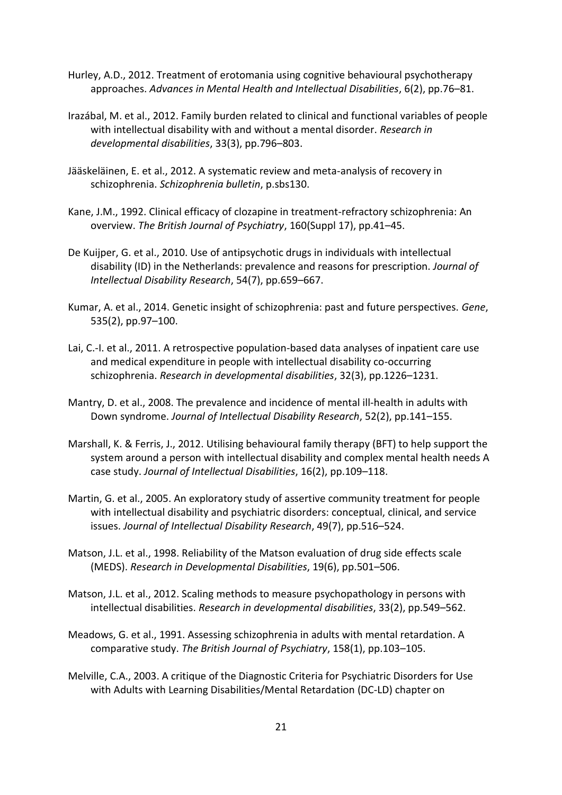- Hurley, A.D., 2012. Treatment of erotomania using cognitive behavioural psychotherapy approaches. *Advances in Mental Health and Intellectual Disabilities*, 6(2), pp.76–81.
- Irazábal, M. et al., 2012. Family burden related to clinical and functional variables of people with intellectual disability with and without a mental disorder. *Research in developmental disabilities*, 33(3), pp.796–803.
- Jääskeläinen, E. et al., 2012. A systematic review and meta-analysis of recovery in schizophrenia. *Schizophrenia bulletin*, p.sbs130.
- Kane, J.M., 1992. Clinical efficacy of clozapine in treatment-refractory schizophrenia: An overview. *The British Journal of Psychiatry*, 160(Suppl 17), pp.41–45.
- De Kuijper, G. et al., 2010. Use of antipsychotic drugs in individuals with intellectual disability (ID) in the Netherlands: prevalence and reasons for prescription. *Journal of Intellectual Disability Research*, 54(7), pp.659–667.
- Kumar, A. et al., 2014. Genetic insight of schizophrenia: past and future perspectives. *Gene*, 535(2), pp.97–100.
- Lai, C.-I. et al., 2011. A retrospective population-based data analyses of inpatient care use and medical expenditure in people with intellectual disability co-occurring schizophrenia. *Research in developmental disabilities*, 32(3), pp.1226–1231.
- Mantry, D. et al., 2008. The prevalence and incidence of mental ill‐health in adults with Down syndrome. *Journal of Intellectual Disability Research*, 52(2), pp.141–155.
- Marshall, K. & Ferris, J., 2012. Utilising behavioural family therapy (BFT) to help support the system around a person with intellectual disability and complex mental health needs A case study. *Journal of Intellectual Disabilities*, 16(2), pp.109–118.
- Martin, G. et al., 2005. An exploratory study of assertive community treatment for people with intellectual disability and psychiatric disorders: conceptual, clinical, and service issues. *Journal of Intellectual Disability Research*, 49(7), pp.516–524.
- Matson, J.L. et al., 1998. Reliability of the Matson evaluation of drug side effects scale (MEDS). *Research in Developmental Disabilities*, 19(6), pp.501–506.
- Matson, J.L. et al., 2012. Scaling methods to measure psychopathology in persons with intellectual disabilities. *Research in developmental disabilities*, 33(2), pp.549–562.
- Meadows, G. et al., 1991. Assessing schizophrenia in adults with mental retardation. A comparative study. *The British Journal of Psychiatry*, 158(1), pp.103–105.
- Melville, C.A., 2003. A critique of the Diagnostic Criteria for Psychiatric Disorders for Use with Adults with Learning Disabilities/Mental Retardation (DC‐LD) chapter on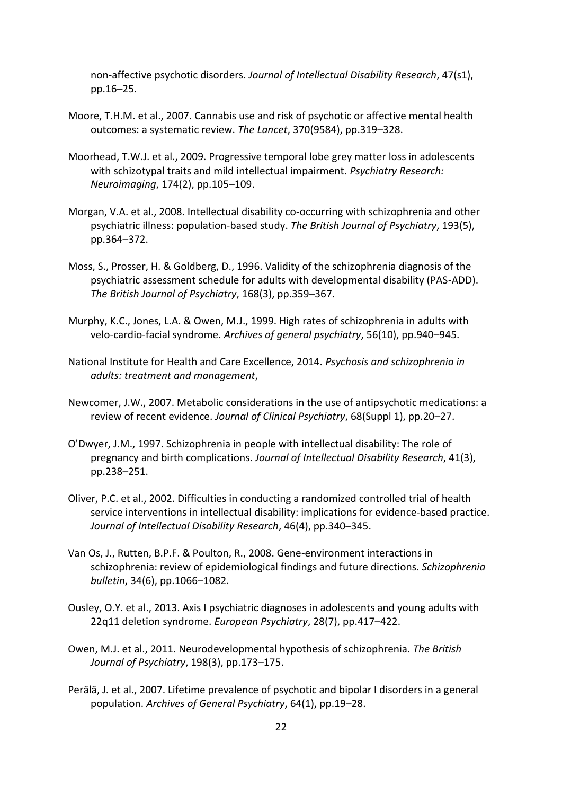non‐affective psychotic disorders. *Journal of Intellectual Disability Research*, 47(s1), pp.16–25.

- Moore, T.H.M. et al., 2007. Cannabis use and risk of psychotic or affective mental health outcomes: a systematic review. *The Lancet*, 370(9584), pp.319–328.
- Moorhead, T.W.J. et al., 2009. Progressive temporal lobe grey matter loss in adolescents with schizotypal traits and mild intellectual impairment. *Psychiatry Research: Neuroimaging*, 174(2), pp.105–109.
- Morgan, V.A. et al., 2008. Intellectual disability co-occurring with schizophrenia and other psychiatric illness: population-based study. *The British Journal of Psychiatry*, 193(5), pp.364–372.
- Moss, S., Prosser, H. & Goldberg, D., 1996. Validity of the schizophrenia diagnosis of the psychiatric assessment schedule for adults with developmental disability (PAS-ADD). *The British Journal of Psychiatry*, 168(3), pp.359–367.
- Murphy, K.C., Jones, L.A. & Owen, M.J., 1999. High rates of schizophrenia in adults with velo-cardio-facial syndrome. *Archives of general psychiatry*, 56(10), pp.940–945.
- National Institute for Health and Care Excellence, 2014. *Psychosis and schizophrenia in adults: treatment and management*,
- Newcomer, J.W., 2007. Metabolic considerations in the use of antipsychotic medications: a review of recent evidence. *Journal of Clinical Psychiatry*, 68(Suppl 1), pp.20–27.
- O'Dwyer, J.M., 1997. Schizophrenia in people with intellectual disability: The role of pregnancy and birth complications. *Journal of Intellectual Disability Research*, 41(3), pp.238–251.
- Oliver, P.C. et al., 2002. Difficulties in conducting a randomized controlled trial of health service interventions in intellectual disability: implications for evidence-based practice. *Journal of Intellectual Disability Research*, 46(4), pp.340–345.
- Van Os, J., Rutten, B.P.F. & Poulton, R., 2008. Gene-environment interactions in schizophrenia: review of epidemiological findings and future directions. *Schizophrenia bulletin*, 34(6), pp.1066–1082.
- Ousley, O.Y. et al., 2013. Axis I psychiatric diagnoses in adolescents and young adults with 22q11 deletion syndrome. *European Psychiatry*, 28(7), pp.417–422.
- Owen, M.J. et al., 2011. Neurodevelopmental hypothesis of schizophrenia. *The British Journal of Psychiatry*, 198(3), pp.173–175.
- Perälä, J. et al., 2007. Lifetime prevalence of psychotic and bipolar I disorders in a general population. *Archives of General Psychiatry*, 64(1), pp.19–28.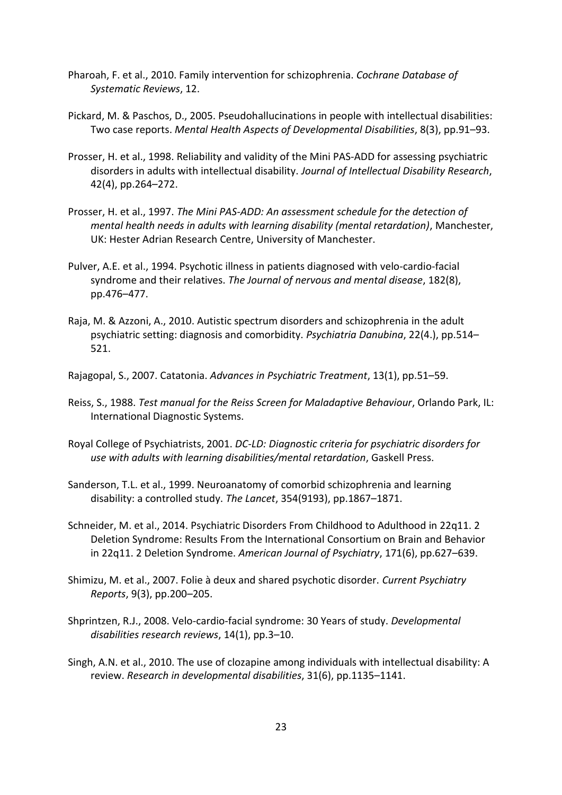- Pharoah, F. et al., 2010. Family intervention for schizophrenia. *Cochrane Database of Systematic Reviews*, 12.
- Pickard, M. & Paschos, D., 2005. Pseudohallucinations in people with intellectual disabilities: Two case reports. *Mental Health Aspects of Developmental Disabilities*, 8(3), pp.91–93.
- Prosser, H. et al., 1998. Reliability and validity of the Mini PAS‐ADD for assessing psychiatric disorders in adults with intellectual disability. *Journal of Intellectual Disability Research*, 42(4), pp.264–272.
- Prosser, H. et al., 1997. *The Mini PAS-ADD: An assessment schedule for the detection of mental health needs in adults with learning disability (mental retardation)*, Manchester, UK: Hester Adrian Research Centre, University of Manchester.
- Pulver, A.E. et al., 1994. Psychotic illness in patients diagnosed with velo-cardio-facial syndrome and their relatives. *The Journal of nervous and mental disease*, 182(8), pp.476–477.
- Raja, M. & Azzoni, A., 2010. Autistic spectrum disorders and schizophrenia in the adult psychiatric setting: diagnosis and comorbidity. *Psychiatria Danubina*, 22(4.), pp.514– 521.
- Rajagopal, S., 2007. Catatonia. *Advances in Psychiatric Treatment*, 13(1), pp.51–59.
- Reiss, S., 1988. *Test manual for the Reiss Screen for Maladaptive Behaviour*, Orlando Park, IL: International Diagnostic Systems.
- Royal College of Psychiatrists, 2001. *DC-LD: Diagnostic criteria for psychiatric disorders for use with adults with learning disabilities/mental retardation*, Gaskell Press.
- Sanderson, T.L. et al., 1999. Neuroanatomy of comorbid schizophrenia and learning disability: a controlled study. *The Lancet*, 354(9193), pp.1867–1871.
- Schneider, M. et al., 2014. Psychiatric Disorders From Childhood to Adulthood in 22q11. 2 Deletion Syndrome: Results From the International Consortium on Brain and Behavior in 22q11. 2 Deletion Syndrome. *American Journal of Psychiatry*, 171(6), pp.627–639.
- Shimizu, M. et al., 2007. Folie à deux and shared psychotic disorder. *Current Psychiatry Reports*, 9(3), pp.200–205.
- Shprintzen, R.J., 2008. Velo‐cardio‐facial syndrome: 30 Years of study. *Developmental disabilities research reviews*, 14(1), pp.3–10.
- Singh, A.N. et al., 2010. The use of clozapine among individuals with intellectual disability: A review. *Research in developmental disabilities*, 31(6), pp.1135–1141.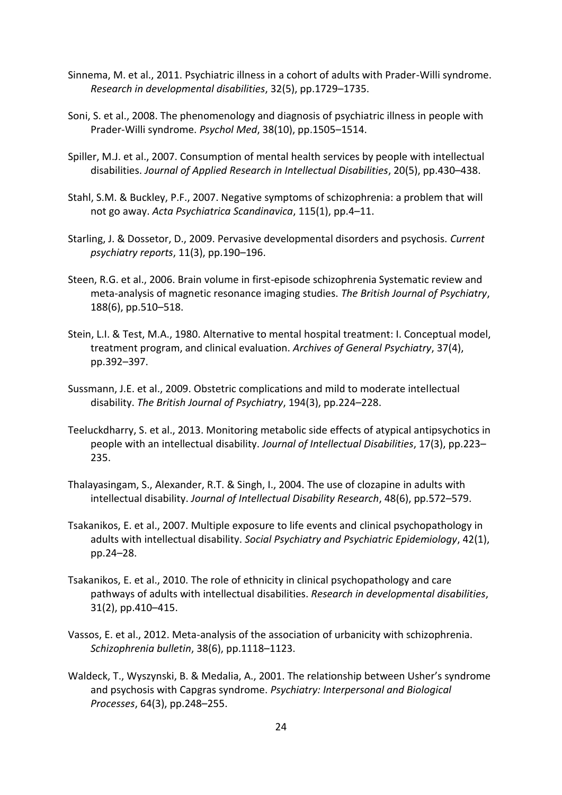- Sinnema, M. et al., 2011. Psychiatric illness in a cohort of adults with Prader-Willi syndrome. *Research in developmental disabilities*, 32(5), pp.1729–1735.
- Soni, S. et al., 2008. The phenomenology and diagnosis of psychiatric illness in people with Prader-Willi syndrome. *Psychol Med*, 38(10), pp.1505–1514.
- Spiller, M.J. et al., 2007. Consumption of mental health services by people with intellectual disabilities. *Journal of Applied Research in Intellectual Disabilities*, 20(5), pp.430–438.
- Stahl, S.M. & Buckley, P.F., 2007. Negative symptoms of schizophrenia: a problem that will not go away. *Acta Psychiatrica Scandinavica*, 115(1), pp.4–11.
- Starling, J. & Dossetor, D., 2009. Pervasive developmental disorders and psychosis. *Current psychiatry reports*, 11(3), pp.190–196.
- Steen, R.G. et al., 2006. Brain volume in first-episode schizophrenia Systematic review and meta-analysis of magnetic resonance imaging studies. *The British Journal of Psychiatry*, 188(6), pp.510–518.
- Stein, L.I. & Test, M.A., 1980. Alternative to mental hospital treatment: I. Conceptual model, treatment program, and clinical evaluation. *Archives of General Psychiatry*, 37(4), pp.392–397.
- Sussmann, J.E. et al., 2009. Obstetric complications and mild to moderate intellectual disability. *The British Journal of Psychiatry*, 194(3), pp.224–228.
- Teeluckdharry, S. et al., 2013. Monitoring metabolic side effects of atypical antipsychotics in people with an intellectual disability. *Journal of Intellectual Disabilities*, 17(3), pp.223– 235.
- Thalayasingam, S., Alexander, R.T. & Singh, I., 2004. The use of clozapine in adults with intellectual disability. *Journal of Intellectual Disability Research*, 48(6), pp.572–579.
- Tsakanikos, E. et al., 2007. Multiple exposure to life events and clinical psychopathology in adults with intellectual disability. *Social Psychiatry and Psychiatric Epidemiology*, 42(1), pp.24–28.
- Tsakanikos, E. et al., 2010. The role of ethnicity in clinical psychopathology and care pathways of adults with intellectual disabilities. *Research in developmental disabilities*, 31(2), pp.410–415.
- Vassos, E. et al., 2012. Meta-analysis of the association of urbanicity with schizophrenia. *Schizophrenia bulletin*, 38(6), pp.1118–1123.
- Waldeck, T., Wyszynski, B. & Medalia, A., 2001. The relationship between Usher's syndrome and psychosis with Capgras syndrome. *Psychiatry: Interpersonal and Biological Processes*, 64(3), pp.248–255.